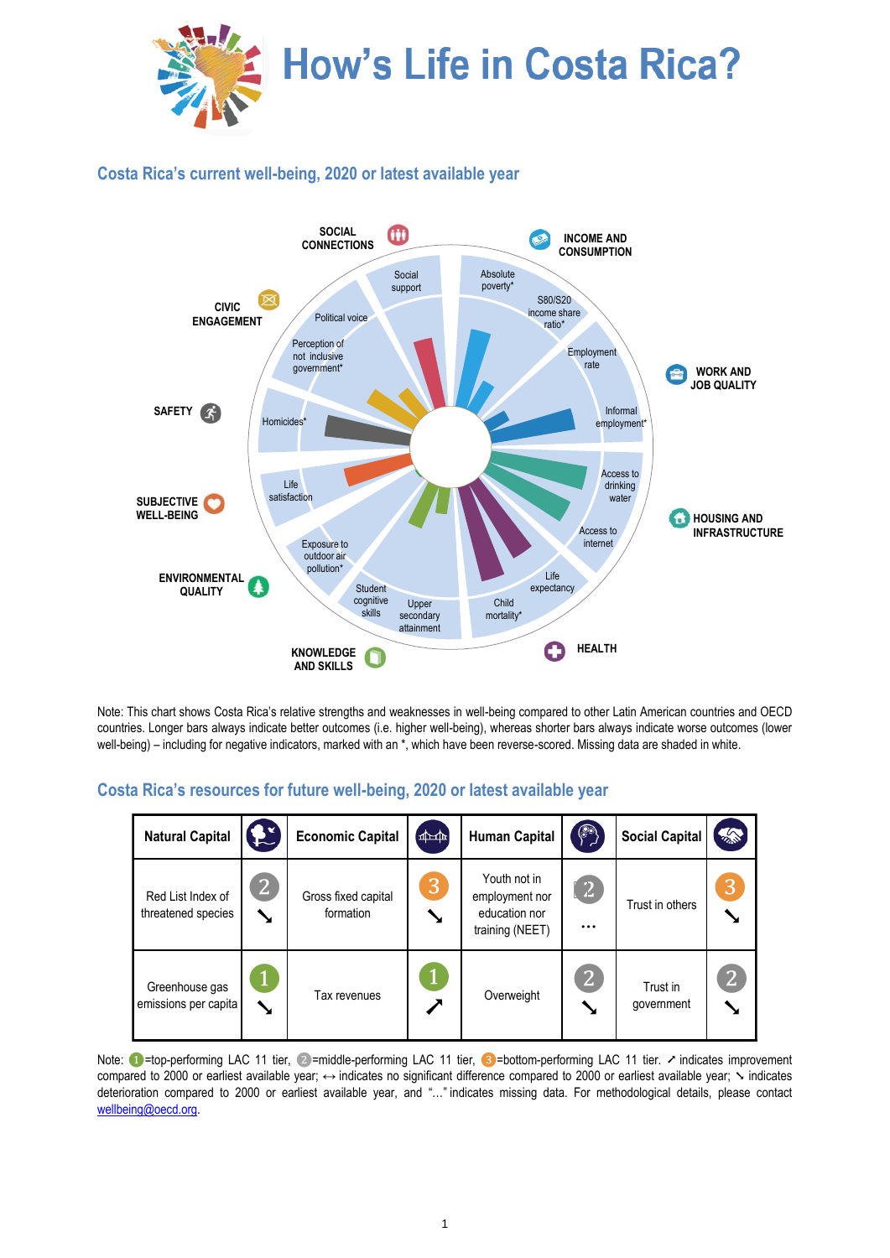

## **Costa Rica's current well-being, 2020 or latest available year**



Note: This chart shows Costa Rica's relative strengths and weaknesses in well-being compared to other Latin American countries and OECD countries. Longer bars always indicate better outcomes (i.e. higher well-being), whereas shorter bars always indicate worse outcomes (lower well-being) – including for negative indicators, marked with an \*, which have been reverse-scored. Missing data are shaded in white.

## **Costa Rica's resources for future well-being, 2020 or latest available year**

| <b>Natural Capital</b>                  | $\mathbf{f}$      | <b>Economic Capital</b>          | $\boxed{\text{min}}$ | <b>Human Capital</b>                                               | $\bigcirc$                    | <b>Social Capital</b>  | "              |
|-----------------------------------------|-------------------|----------------------------------|----------------------|--------------------------------------------------------------------|-------------------------------|------------------------|----------------|
| Red List Index of<br>threatened species | $\mathbf{2}$<br>У | Gross fixed capital<br>formation | 3<br>Y               | Youth not in<br>employment nor<br>education nor<br>training (NEET) | $\left( 2\right)$<br>$\cdots$ | Trust in others        | 3              |
| Greenhouse gas<br>emissions per capita  | ↘                 | Tax revenues                     |                      | Overweight                                                         | $\overline{2}$                | Trust in<br>qovernment | 2 <sup>2</sup> |

Note: ● =top-performing LAC 11 tier, ②=middle-performing LAC 11 tier, ③=bottom-performing LAC 11 tier. ↗ indicates improvement compared to 2000 or earliest available year; ↔ indicates no significant difference compared to 2000 or earliest available year;  $\sim$  indicates deterioration compared to 2000 or earliest available year, and "…" indicates missing data. For methodological details, please contact [wellbeing@oecd.org.](mailto:wellbeing@oecd.org)